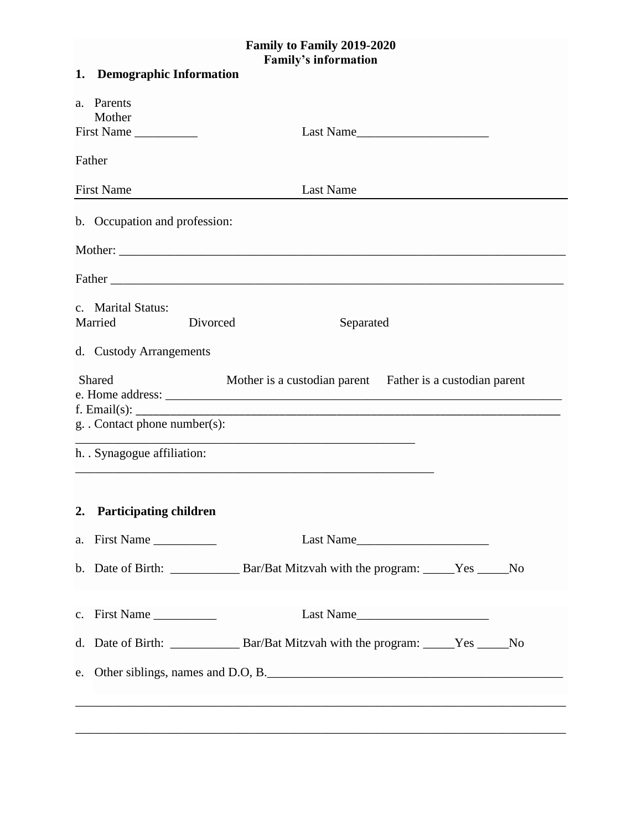## **Family to Family 2019-2020 Family's information**

|         | 1. Demographic Information                                                                 |  |
|---------|--------------------------------------------------------------------------------------------|--|
|         | a. Parents                                                                                 |  |
|         | Mother<br>First Name                                                                       |  |
|         | Last Name                                                                                  |  |
| Father  |                                                                                            |  |
|         | <b>First Name</b><br><b>Last Name</b>                                                      |  |
|         | b. Occupation and profession:                                                              |  |
| Mother: |                                                                                            |  |
|         |                                                                                            |  |
|         | c. Marital Status:                                                                         |  |
|         | Married<br>Divorced<br>Separated                                                           |  |
|         | d. Custody Arrangements                                                                    |  |
|         | Shared<br>Mother is a custodian parent Father is a custodian parent                        |  |
|         |                                                                                            |  |
|         | <u> 1980 - Johann Stoff, amerikansk politiker (d. 1980)</u><br>g. Contact phone number(s): |  |
|         | h. . Synagogue affiliation:                                                                |  |
|         |                                                                                            |  |
| 2.      | <b>Participating children</b>                                                              |  |
|         | a. First Name<br>Last Name                                                                 |  |
|         |                                                                                            |  |
|         |                                                                                            |  |
|         | c. First Name                                                                              |  |
|         |                                                                                            |  |
|         | e. Other siblings, names and D.O, B.                                                       |  |
|         |                                                                                            |  |
|         |                                                                                            |  |